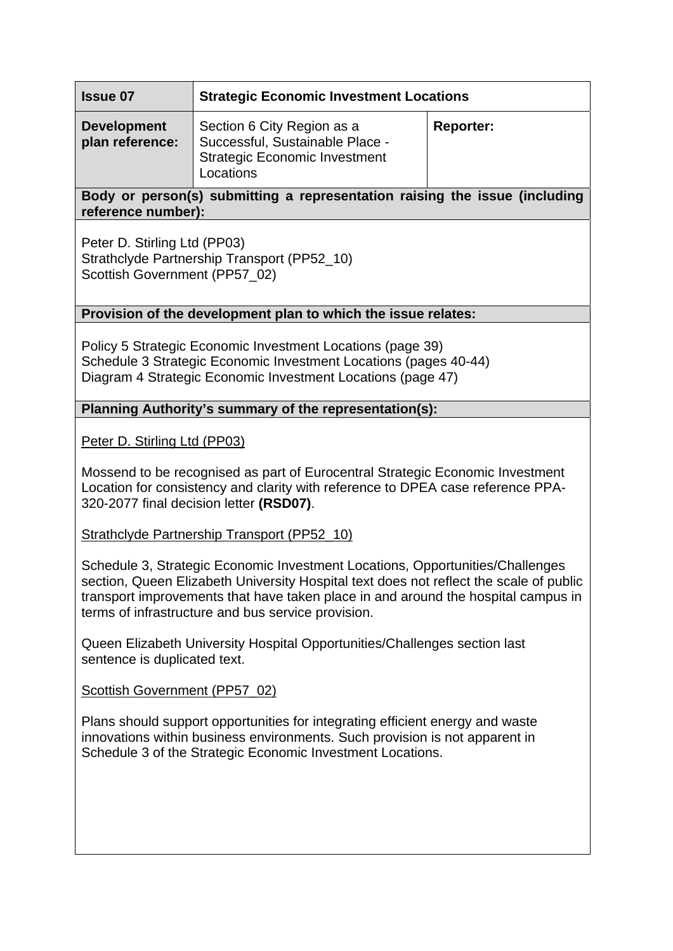| <b>Issue 07</b>                       | <b>Strategic Economic Investment Locations</b>                                                                     |                  |
|---------------------------------------|--------------------------------------------------------------------------------------------------------------------|------------------|
| <b>Development</b><br>plan reference: | Section 6 City Region as a<br>Successful, Sustainable Place -<br><b>Strategic Economic Investment</b><br>Locations | <b>Reporter:</b> |

## **Body or person(s) submitting a representation raising the issue (including reference number):**

Peter D. Stirling Ltd (PP03) Strathclyde Partnership Transport (PP52\_10) Scottish Government (PP57\_02)

## **Provision of the development plan to which the issue relates:**

Policy 5 Strategic Economic Investment Locations (page 39) Schedule 3 Strategic Economic Investment Locations (pages 40-44) Diagram 4 Strategic Economic Investment Locations (page 47)

## **Planning Authority's summary of the representation(s):**

Peter D. Stirling Ltd (PP03)

Mossend to be recognised as part of Eurocentral Strategic Economic Investment Location for consistency and clarity with reference to DPEA case reference PPA-320-2077 final decision letter **(RSD07)**.

Strathclyde Partnership Transport (PP52\_10)

Schedule 3, Strategic Economic Investment Locations, Opportunities/Challenges section, Queen Elizabeth University Hospital text does not reflect the scale of public transport improvements that have taken place in and around the hospital campus in terms of infrastructure and bus service provision.

Queen Elizabeth University Hospital Opportunities/Challenges section last sentence is duplicated text.

Scottish Government (PP57\_02)

Plans should support opportunities for integrating efficient energy and waste innovations within business environments. Such provision is not apparent in Schedule 3 of the Strategic Economic Investment Locations.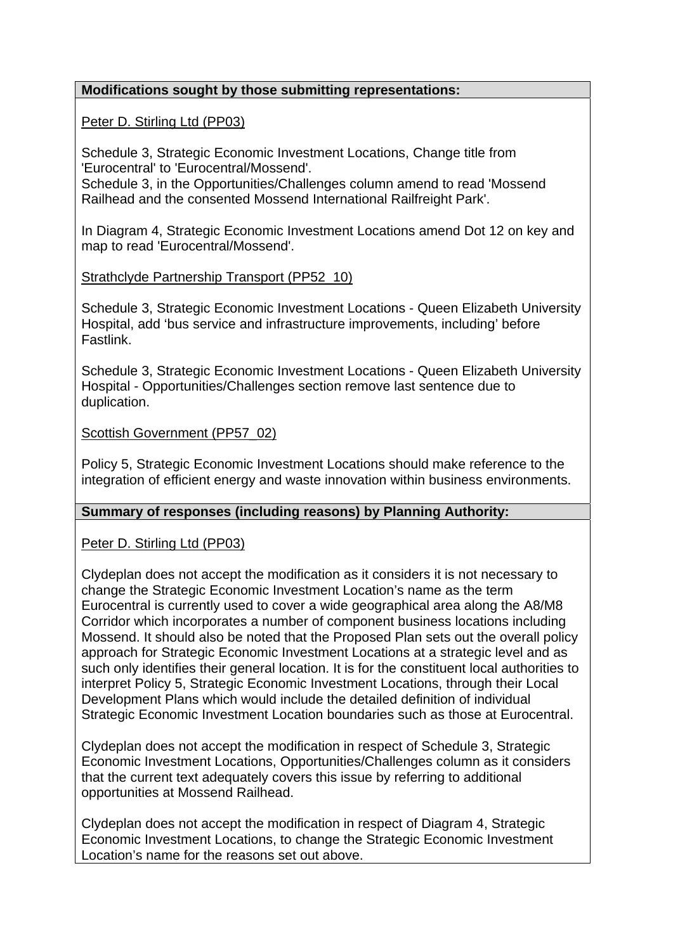## **Modifications sought by those submitting representations:**

### Peter D. Stirling Ltd (PP03)

Schedule 3, Strategic Economic Investment Locations, Change title from 'Eurocentral' to 'Eurocentral/Mossend'.

Schedule 3, in the Opportunities/Challenges column amend to read 'Mossend Railhead and the consented Mossend International Railfreight Park'.

In Diagram 4, Strategic Economic Investment Locations amend Dot 12 on key and map to read 'Eurocentral/Mossend'.

## Strathclyde Partnership Transport (PP52\_10)

Schedule 3, Strategic Economic Investment Locations - Queen Elizabeth University Hospital, add 'bus service and infrastructure improvements, including' before Fastlink.

Schedule 3, Strategic Economic Investment Locations - Queen Elizabeth University Hospital - Opportunities/Challenges section remove last sentence due to duplication.

#### Scottish Government (PP57\_02)

Policy 5, Strategic Economic Investment Locations should make reference to the integration of efficient energy and waste innovation within business environments.

#### **Summary of responses (including reasons) by Planning Authority:**

# Peter D. Stirling Ltd (PP03)

Clydeplan does not accept the modification as it considers it is not necessary to change the Strategic Economic Investment Location's name as the term Eurocentral is currently used to cover a wide geographical area along the A8/M8 Corridor which incorporates a number of component business locations including Mossend. It should also be noted that the Proposed Plan sets out the overall policy approach for Strategic Economic Investment Locations at a strategic level and as such only identifies their general location. It is for the constituent local authorities to interpret Policy 5, Strategic Economic Investment Locations, through their Local Development Plans which would include the detailed definition of individual Strategic Economic Investment Location boundaries such as those at Eurocentral.

Clydeplan does not accept the modification in respect of Schedule 3, Strategic Economic Investment Locations, Opportunities/Challenges column as it considers that the current text adequately covers this issue by referring to additional opportunities at Mossend Railhead.

Clydeplan does not accept the modification in respect of Diagram 4, Strategic Economic Investment Locations, to change the Strategic Economic Investment Location's name for the reasons set out above.